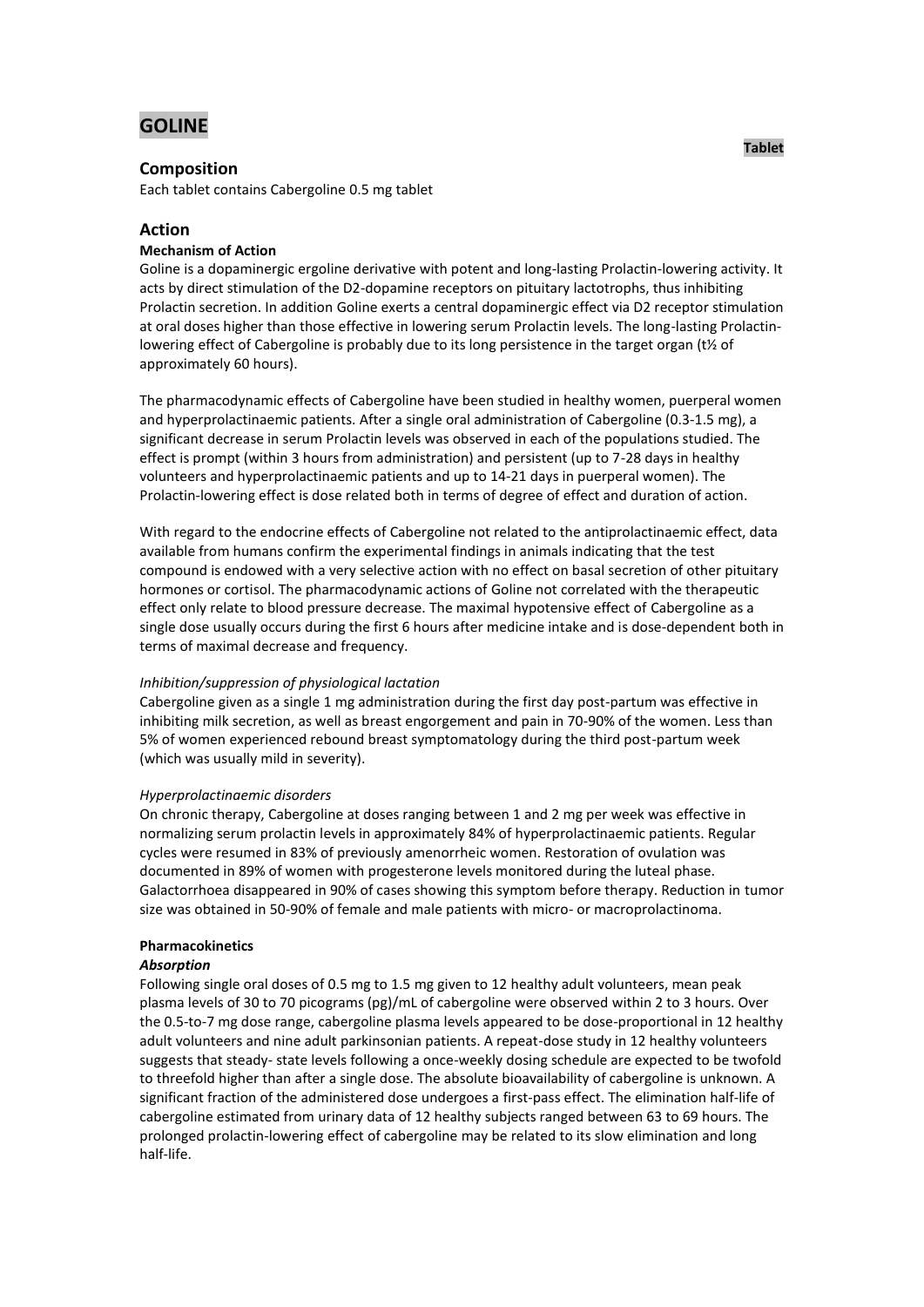# **GOLINE**

## **Composition**

Each tablet contains Cabergoline 0.5 mg tablet

## **Action**

## **Mechanism of Action**

Goline is a dopaminergic ergoline derivative with potent and long-lasting Prolactin-lowering activity. It acts by direct stimulation of the D2-dopamine receptors on pituitary lactotrophs, thus inhibiting Prolactin secretion. In addition Goline exerts a central dopaminergic effect via D2 receptor stimulation at oral doses higher than those effective in lowering serum Prolactin levels. The long-lasting Prolactinlowering effect of Cabergoline is probably due to its long persistence in the target organ (t½ of approximately 60 hours).

The pharmacodynamic effects of Cabergoline have been studied in healthy women, puerperal women and hyperprolactinaemic patients. After a single oral administration of Cabergoline (0.3-1.5 mg), a significant decrease in serum Prolactin levels was observed in each of the populations studied. The effect is prompt (within 3 hours from administration) and persistent (up to 7-28 days in healthy volunteers and hyperprolactinaemic patients and up to 14-21 days in puerperal women). The Prolactin-lowering effect is dose related both in terms of degree of effect and duration of action.

With regard to the endocrine effects of Cabergoline not related to the antiprolactinaemic effect, data available from humans confirm the experimental findings in animals indicating that the test compound is endowed with a very selective action with no effect on basal secretion of other pituitary hormones or cortisol. The pharmacodynamic actions of Goline not correlated with the therapeutic effect only relate to blood pressure decrease. The maximal hypotensive effect of Cabergoline as a single dose usually occurs during the first 6 hours after medicine intake and is dose-dependent both in terms of maximal decrease and frequency.

### *Inhibition/suppression of physiological lactation*

Cabergoline given as a single 1 mg administration during the first day post-partum was effective in inhibiting milk secretion, as well as breast engorgement and pain in 70-90% of the women. Less than 5% of women experienced rebound breast symptomatology during the third post-partum week (which was usually mild in severity).

### *Hyperprolactinaemic disorders*

On chronic therapy, Cabergoline at doses ranging between 1 and 2 mg per week was effective in normalizing serum prolactin levels in approximately 84% of hyperprolactinaemic patients. Regular cycles were resumed in 83% of previously amenorrheic women. Restoration of ovulation was documented in 89% of women with progesterone levels monitored during the luteal phase. Galactorrhoea disappeared in 90% of cases showing this symptom before therapy. Reduction in tumor size was obtained in 50-90% of female and male patients with micro- or macroprolactinoma.

## **Pharmacokinetics**

#### *Absorption*

Following single oral doses of 0.5 mg to 1.5 mg given to 12 healthy adult volunteers, mean peak [plasma](http://www.rxlist.com/script/main/art.asp?articlekey=4934) levels of 30 to 70 picograms (pg)/mL of cabergoline were observed within 2 to 3 hours. Over the 0.5-to-7 mg dose range, cabergoline plasma levels appeared to be dose-proportional in 12 healthy adult volunteers and nine adult parkinsonian patients. A repeat-dose study in 12 healthy volunteers suggests that steady- state levels following a once-weekly dosing schedule are expected to be twofold to threefold higher than after a single dose. The absolute bioavailability of cabergoline is unknown. A significant fraction of the administered dose undergoes a first-pass effect. The elimination half-life of cabergoline estimated from [urinary](http://www.rxlist.com/script/main/art.asp?articlekey=5912) data of 12 healthy subjects ranged between 63 to 69 hours. The prolonged prolactin-lowering effect of cabergoline may be related to its slow elimination and long half-life.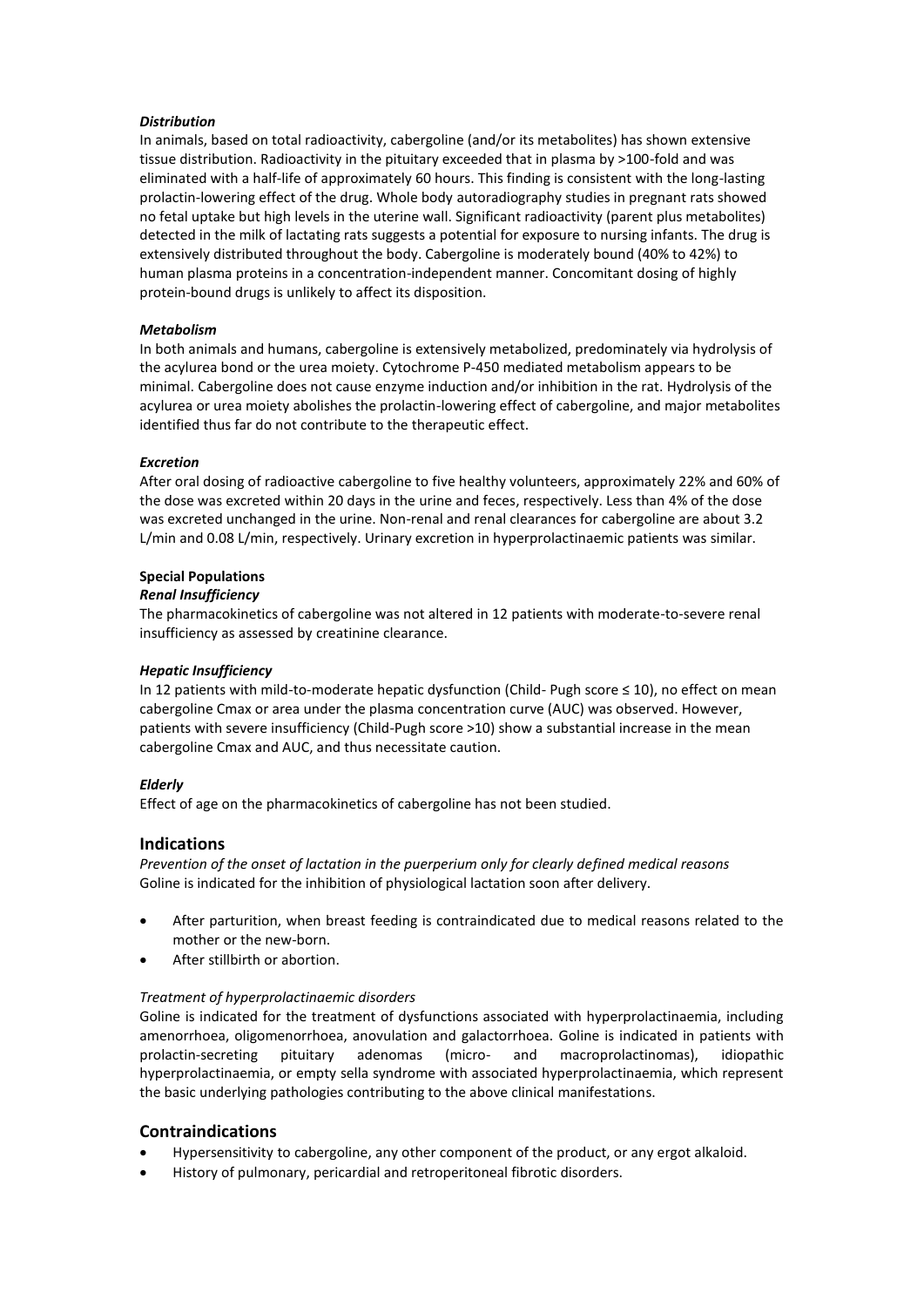## *Distribution*

In animals, based on total radioactivity, cabergoline (and/or its metabolites) has shown extensive [tissue](http://www.rxlist.com/script/main/art.asp?articlekey=5800) distribution. Radioactivity in the pituitary exceeded that in plasma by >100-fold and was eliminated with a half-life of approximately 60 hours. This finding is consistent with the long-lasting prolactin-lowering effect of the drug. Whole body [autoradiography](http://www.rxlist.com/script/main/art.asp?articlekey=2405) studies in pregnant rats showed no fetal uptake but high levels in the uterine wall. Significant radioactivity (parent plus metabolites) detected in the milk of lactating rats suggests a potential for exposure to nursing infants. The drug is extensively distributed throughout the body. Cabergoline is moderately bound (40% to 42%) to human plasma proteins in a concentration-independent manner. Concomitant dosing of highly protein-bound drugs is unlikely to affect its disposition.

## *Metabolism*

In both animals and humans, cabergoline is extensively metabolized, predominately via hydrolysis of the acylurea bond or th[e urea](http://www.rxlist.com/script/main/art.asp?articlekey=5905) moiety. Cytochrome P-450 mediated metabolism appears to be minimal. Cabergoline does not cause [enzyme](http://www.rxlist.com/script/main/art.asp?articlekey=3266) induction and/or inhibition in the rat. Hydrolysis of the acylurea or urea moiety abolishes the prolactin-lowering effect of cabergoline, and major metabolites identified thus far do not contribute to the therapeutic effect.

## *Excretion*

After oral dosing of radioactive cabergoline to five healthy volunteers, approximately 22% and 60% of the dose was excreted within 20 days in the [urine](http://www.rxlist.com/script/main/art.asp?articlekey=5915) and [feces,](http://www.rxlist.com/script/main/art.asp?articlekey=3400) respectively. Less than 4% of the dose was excreted unchanged in the urine. Non-renal an[d renal](http://www.rxlist.com/script/main/art.asp?articlekey=5298) clearances for cabergoline are about 3.2 L/min and 0.08 L/min, respectively. Urinary excretion in hyperprolactinaemic patients was similar.

## **Special Populations**

### *Renal Insufficiency*

The pharmacokinetics of cabergoline was not altered in 12 patients with moderate-to-severe renal insufficiency as assessed by [creatinine](http://www.rxlist.com/script/main/art.asp?articlekey=12550) clearance.

### *Hepatic Insufficiency*

In 12 patients with mild-to-moderate hepatic dysfunction (Child- Pugh score ≤ 10), no effect on mean cabergoline Cmax or area under the plasma concentration curve (AUC) was observed. However, patients with severe insufficiency (Child-Pugh score >10) show a substantial increase in the mean cabergoline Cmax and AUC, and thus necessitate caution.

## *Elderly*

Effect of age on the pharmacokinetics of cabergoline has not been studied.

## **Indications**

*Prevention of the onset of lactation in the puerperium only for clearly defined medical reasons* Goline is indicated for the inhibition of physiological lactation soon after delivery.

- After parturition, when breast feeding is contraindicated due to medical reasons related to the mother or the new-born.
- After stillbirth or abortion.

## *Treatment of hyperprolactinaemic disorders*

Goline is indicated for the treatment of dysfunctions associated with hyperprolactinaemia, including amenorrhoea, oligomenorrhoea, anovulation and galactorrhoea. Goline is indicated in patients with prolactin-secreting pituitary adenomas (micro- and macroprolactinomas), idiopathic hyperprolactinaemia, or empty sella syndrome with associated hyperprolactinaemia, which represent the basic underlying pathologies contributing to the above clinical manifestations.

## **Contraindications**

- Hypersensitivity to cabergoline, any other component of the product, or any ergot alkaloid.
- History of pulmonary, pericardial and retroperitoneal fibrotic disorders.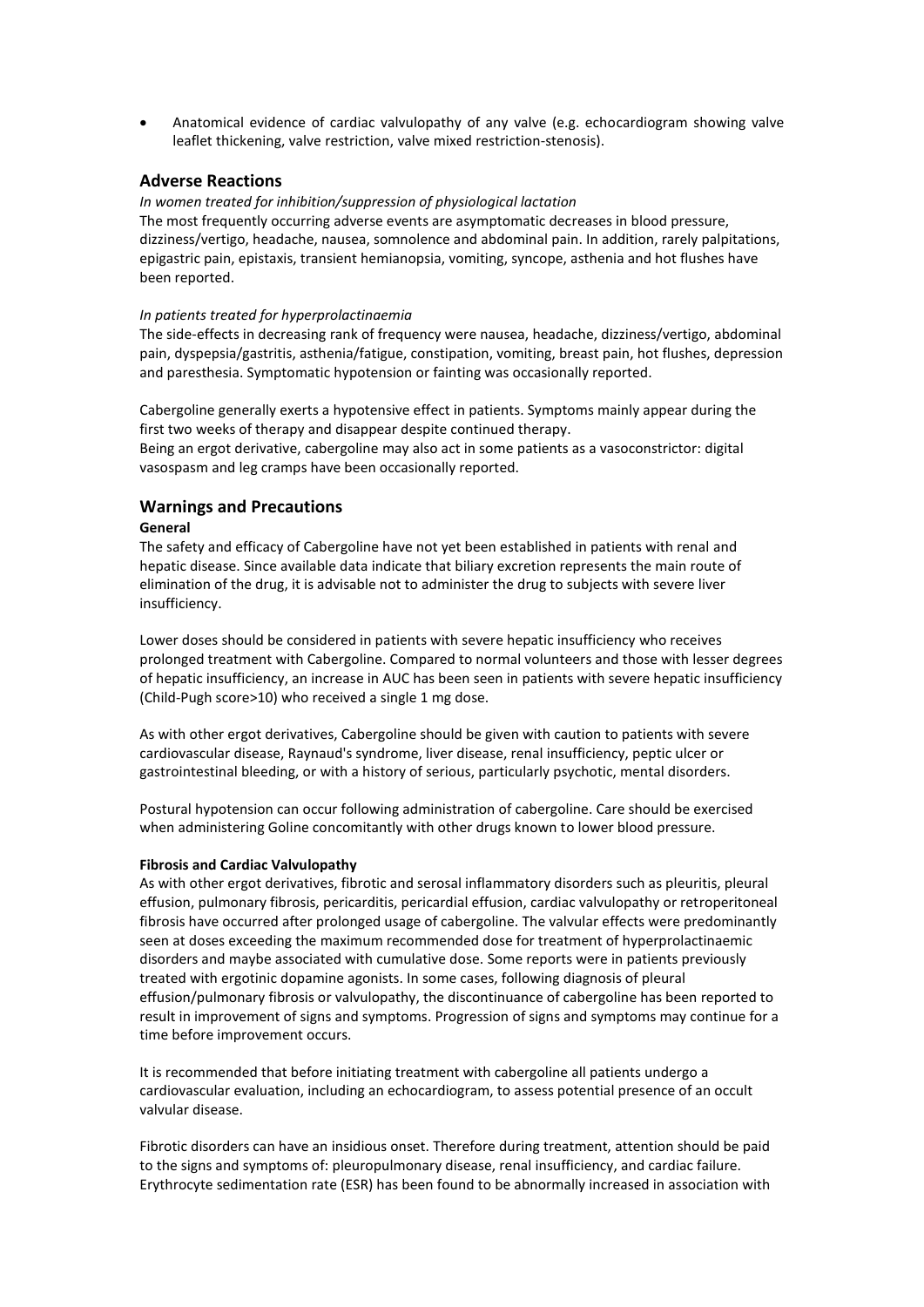Anatomical evidence of cardiac valvulopathy of any valve (e.g. echocardiogram showing valve leaflet thickening, valve restriction, valve mixed restriction-stenosis).

## **Adverse Reactions**

### *In women treated for inhibition/suppression of physiological lactation*

The most frequently occurring adverse events are asymptomatic decreases in blood pressure, dizziness/vertigo, headache, nausea, somnolence and abdominal pain. In addition, rarely palpitations, epigastric pain, epistaxis, transient hemianopsia, vomiting, syncope, asthenia and hot flushes have been reported.

## *In patients treated for hyperprolactinaemia*

The side-effects in decreasing rank of frequency were nausea, headache, dizziness/vertigo, abdominal pain, dyspepsia/gastritis, asthenia/fatigue, constipation, vomiting, breast pain, hot flushes, depression and paresthesia. Symptomatic hypotension or fainting was occasionally reported.

Cabergoline generally exerts a hypotensive effect in patients. Symptoms mainly appear during the first two weeks of therapy and disappear despite continued therapy.

Being an ergot derivative, cabergoline may also act in some patients as a vasoconstrictor: digital vasospasm and leg cramps have been occasionally reported.

## **Warnings and Precautions**

### **General**

The safety and efficacy of Cabergoline have not yet been established in patients with renal and hepatic disease. Since available data indicate that biliary excretion represents the main route of elimination of the drug, it is advisable not to administer the drug to subjects with severe liver insufficiency.

Lower doses should be considered in patients with severe hepatic insufficiency who receives prolonged treatment with Cabergoline. Compared to normal volunteers and those with lesser degrees of hepatic insufficiency, an increase in AUC has been seen in patients with severe hepatic insufficiency (Child-Pugh score>10) who received a single 1 mg dose.

As with other ergot derivatives, Cabergoline should be given with caution to patients with severe cardiovascular disease, Raynaud's syndrome, liver disease, renal insufficiency, peptic ulcer or gastrointestinal bleeding, or with a history of serious, particularly psychotic, mental disorders.

Postural hypotension can occur following administration of cabergoline. Care should be exercised when administering Goline concomitantly with other drugs known to lower blood pressure.

### **Fibrosis and Cardiac Valvulopathy**

As with other ergot derivatives, fibrotic and serosal inflammatory disorders such as pleuritis, pleural effusion, pulmonary fibrosis, pericarditis, pericardial effusion, cardiac valvulopathy or retroperitoneal fibrosis have occurred after prolonged usage of cabergoline. The valvular effects were predominantly seen at doses exceeding the maximum recommended dose for treatment of hyperprolactinaemic disorders and maybe associated with cumulative dose. Some reports were in patients previously treated with ergotinic dopamine agonists. In some cases, following diagnosis of pleural effusion/pulmonary fibrosis or valvulopathy, the discontinuance of cabergoline has been reported to result in improvement of signs and symptoms. Progression of signs and symptoms may continue for a time before improvement occurs.

It is recommended that before initiating treatment with cabergoline all patients undergo a cardiovascular evaluation, including an echocardiogram, to assess potential presence of an occult valvular disease.

Fibrotic disorders can have an insidious onset. Therefore during treatment, attention should be paid to the signs and symptoms of: pleuropulmonary disease, renal insufficiency, and cardiac failure. Erythrocyte sedimentation rate (ESR) has been found to be abnormally increased in association with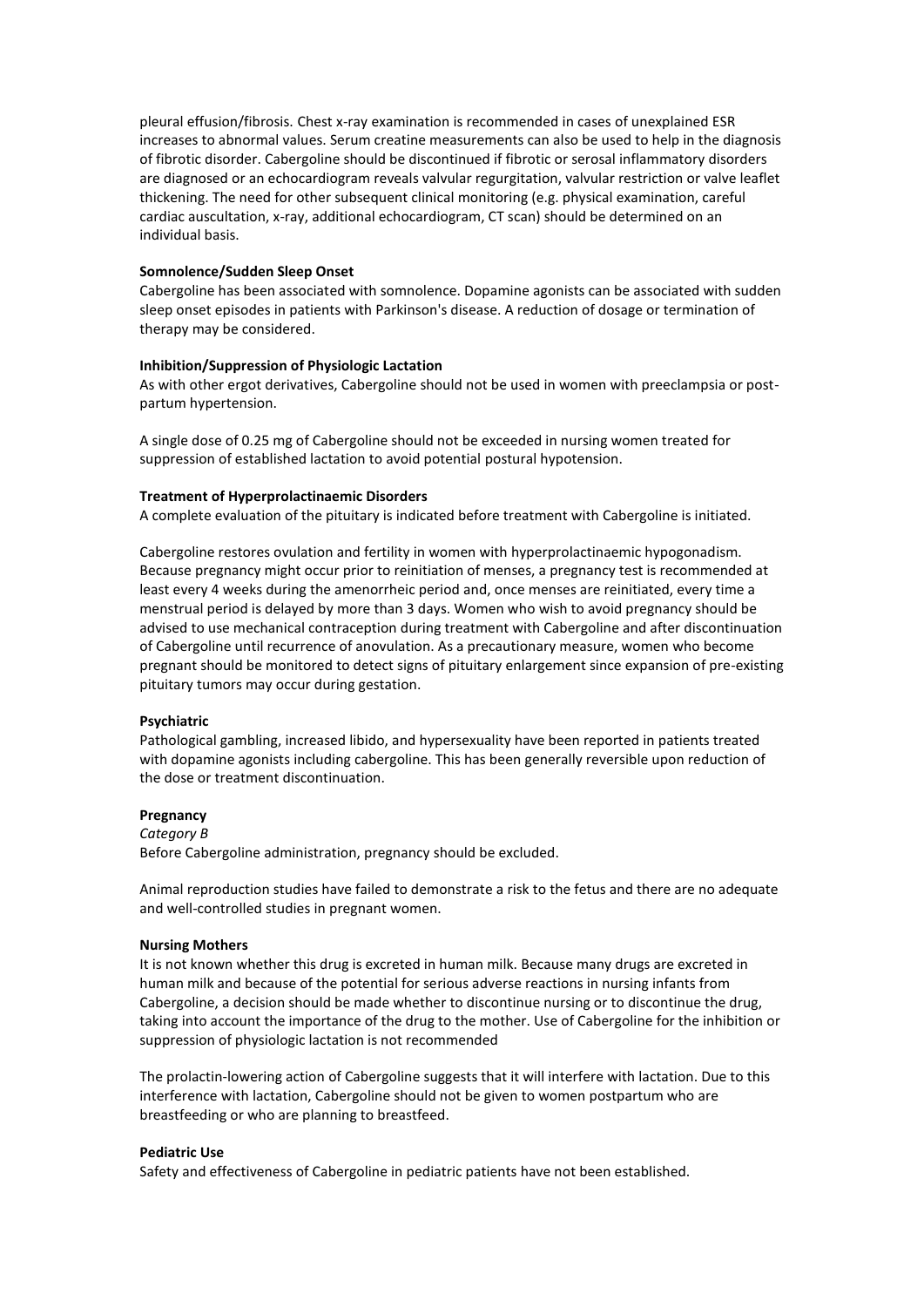pleural effusion/fibrosis. Chest x-ray examination is recommended in cases of unexplained ESR increases to abnormal values. Serum creatine measurements can also be used to help in the diagnosis of fibrotic disorder. Cabergoline should be discontinued if fibrotic or serosal inflammatory disorders are diagnosed or an echocardiogram reveals valvular regurgitation, valvular restriction or valve leaflet thickening. The need for other subsequent clinical monitoring (e.g. physical examination, careful cardiac auscultation, x-ray, additional echocardiogram, CT scan) should be determined on an individual basis.

### **Somnolence/Sudden Sleep Onset**

Cabergoline has been associated with somnolence. Dopamine agonists can be associated with sudden sleep onset episodes in patients with Parkinson's disease. A reduction of dosage or termination of therapy may be considered.

## **Inhibition/Suppression of Physiologic Lactation**

As with other ergot derivatives, Cabergoline should not be used in women with preeclampsia or postpartum hypertension.

A single dose of 0.25 mg of Cabergoline should not be exceeded in nursing women treated for suppression of established lactation to avoid potential postural hypotension.

#### **Treatment of Hyperprolactinaemic Disorders**

A complete evaluation of the pituitary is indicated before treatment with Cabergoline is initiated.

Cabergoline restores ovulation and fertility in women with hyperprolactinaemic hypogonadism. Because pregnancy might occur prior to reinitiation of menses, a pregnancy test is recommended at least every 4 weeks during the amenorrheic period and, once menses are reinitiated, every time a menstrual period is delayed by more than 3 days. Women who wish to avoid pregnancy should be advised to use mechanical contraception during treatment with Cabergoline and after discontinuation of Cabergoline until recurrence of anovulation. As a precautionary measure, women who become pregnant should be monitored to detect signs of pituitary enlargement since expansion of pre-existing pituitary tumors may occur during gestation.

### **Psychiatric**

Pathological gambling, increased libido, and hypersexuality have been reported in patients treated with dopamine agonists including cabergoline. This has been generally reversible upon reduction of the dose or treatment discontinuation.

### **Pregnancy**

#### *Category B*

Before Cabergoline administration, pregnancy should be excluded.

Animal reproduction studies have failed to demonstrate a risk to the fetus and there are no adequate and well-controlled studies in pregnant women.

### **Nursing Mothers**

It is not known whether this drug is excreted in human milk. Because many drugs are excreted in human milk and because of the potential for serious adverse reactions in nursing infants from Cabergoline, a decision should be made whether to discontinue nursing or to discontinue the drug, taking into account the importance of the drug to the mother. Use of Cabergoline for the inhibition or suppression of physiologic lactation is not recommended

The prolactin-lowering action of Cabergoline suggests that it will interfere with lactation. Due to this interference with lactation, Cabergoline should not be given to women postpartum who are breastfeeding or who are planning to breastfeed.

#### **Pediatric Use**

Safety and effectiveness of Cabergoline in pediatric patients have not been established.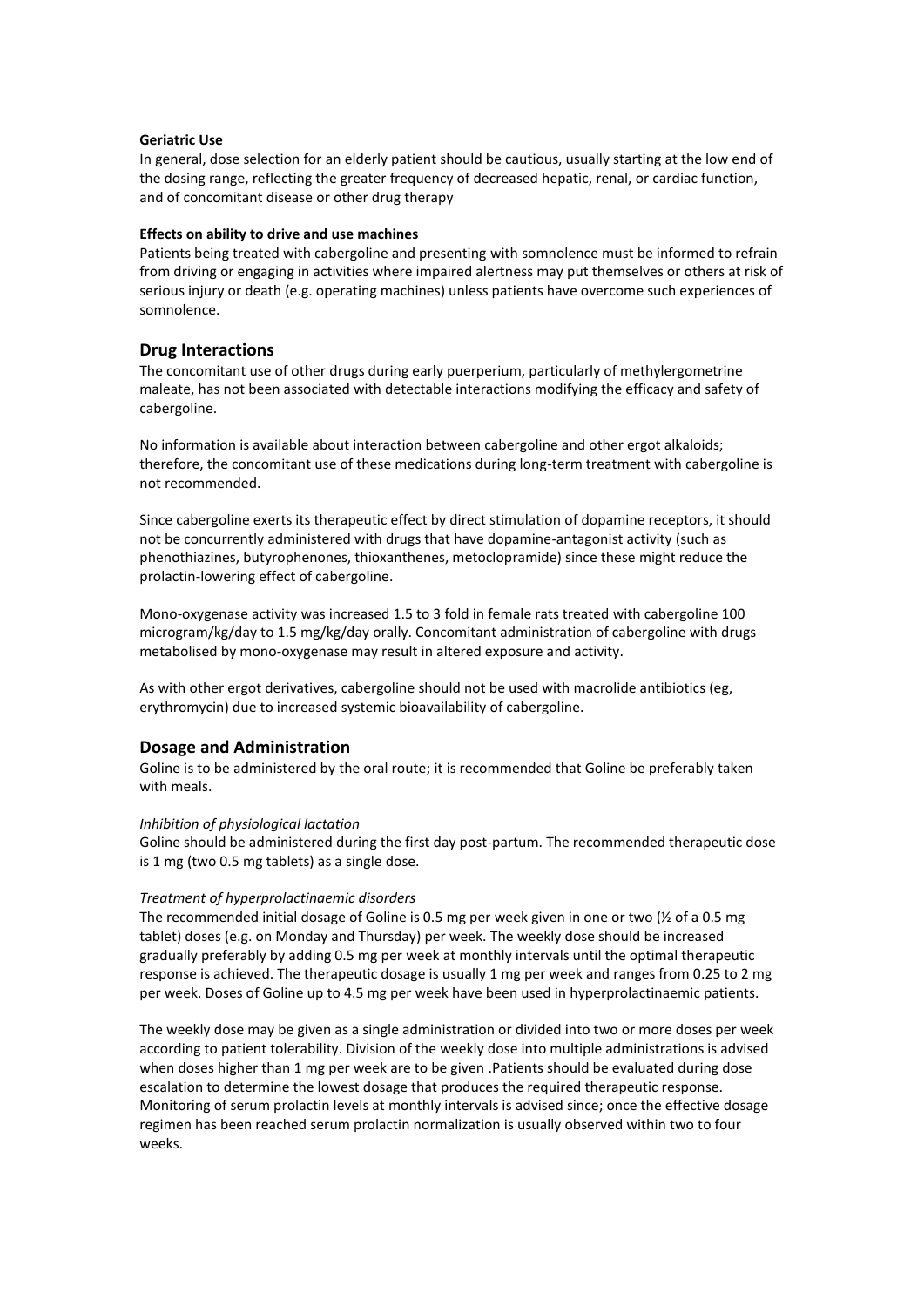### **Geriatric Use**

In general, dose selection for an elderly patient should be cautious, usually starting at the low end of the dosing range, reflecting the greater frequency of decreased hepatic, renal, or cardiac function, and of concomitant disease or other drug therapy

### **Effects on ability to drive and use machines**

Patients being treated with cabergoline and presenting with somnolence must be informed to refrain from driving or engaging in activities where impaired alertness may put themselves or others at risk of serious injury or death (e.g. operating machines) unless patients have overcome such experiences of somnolence.

## **Drug Interactions**

The concomitant use of other drugs during early puerperium, particularly of methylergometrine maleate, has not been associated with detectable interactions modifying the efficacy and safety of cabergoline.

No information is available about interaction between cabergoline and other ergot alkaloids; therefore, the concomitant use of these medications during long-term treatment with cabergoline is not recommended.

Since cabergoline exerts its therapeutic effect by direct stimulation of dopamine receptors, it should not be concurrently administered with drugs that have dopamine-antagonist activity (such as phenothiazines, butyrophenones, thioxanthenes, metoclopramide) since these might reduce the prolactin-lowering effect of cabergoline.

Mono-oxygenase activity was increased 1.5 to 3 fold in female rats treated with cabergoline 100 microgram/kg/day to 1.5 mg/kg/day orally. Concomitant administration of cabergoline with drugs metabolised by mono-oxygenase may result in altered exposure and activity.

As with other ergot derivatives, cabergoline should not be used with macrolide antibiotics (eg, erythromycin) due to increased systemic bioavailability of cabergoline.

## **Dosage and Administration**

Goline is to be administered by the oral route; it is recommended that Goline be preferably taken with meals.

### *Inhibition of physiological lactation*

Goline should be administered during the first day post-partum. The recommended therapeutic dose is 1 mg (two 0.5 mg tablets) as a single dose.

## *Treatment of hyperprolactinaemic disorders*

The recommended initial dosage of Goline is 0.5 mg per week given in one or two ( $\frac{1}{2}$  of a 0.5 mg tablet) doses (e.g. on Monday and Thursday) per week. The weekly dose should be increased gradually preferably by adding 0.5 mg per week at monthly intervals until the optimal therapeutic response is achieved. The therapeutic dosage is usually 1 mg per week and ranges from 0.25 to 2 mg per week. Doses of Goline up to 4.5 mg per week have been used in hyperprolactinaemic patients.

The weekly dose may be given as a single administration or divided into two or more doses per week according to patient tolerability. Division of the weekly dose into multiple administrations is advised when doses higher than 1 mg per week are to be given .Patients should be evaluated during dose escalation to determine the lowest dosage that produces the required therapeutic response. Monitoring of serum prolactin levels at monthly intervals is advised since; once the effective dosage regimen has been reached serum prolactin normalization is usually observed within two to four weeks.